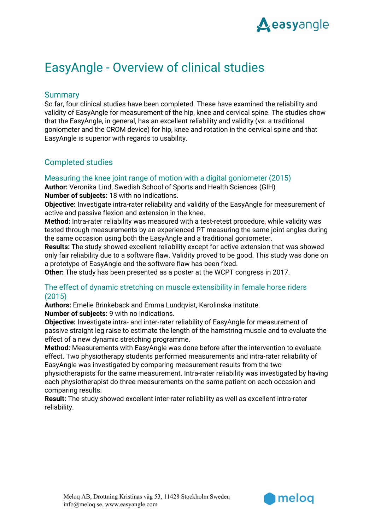

# EasyAngle - Overview of clinical studies

# **Summary**

So far, four clinical studies have been completed. These have examined the reliability and validity of EasyAngle for measurement of the hip, knee and cervical spine. The studies show that the EasyAngle, in general, has an excellent reliability and validity (vs. a traditional goniometer and the CROM device) for hip, knee and rotation in the cervical spine and that EasyAngle is superior with regards to usability.

# Completed studies

## Measuring the knee joint range of motion with a digital goniometer (2015)

**Author:** Veronika Lind, Swedish School of Sports and Health Sciences (GIH) **Number of subjects:** 18 with no indications.

**Objective:** Investigate intra-rater reliability and validity of the EasyAngle for measurement of active and passive flexion and extension in the knee.

**Method:** Intra-rater reliability was measured with a test-retest procedure, while validity was tested through measurements by an experienced PT measuring the same joint angles during the same occasion using both the EasyAngle and a traditional goniometer.

**Results:** The study showed excellent reliability except for active extension that was showed only fair reliability due to a software flaw. Validity proved to be good. This study was done on a prototype of EasyAngle and the software flaw has been fixed.

**Other:** The study has been presented as a poster at the WCPT congress in 2017.

## The effect of dynamic stretching on muscle extensibility in female horse riders (2015)

**Authors:** Emelie Brinkeback and Emma Lundqvist, Karolinska Institute. **Number of subjects:** 9 with no indications.

**Objective:** Investigate intra- and inter-rater reliability of EasyAngle for measurement of passive straight leg raise to estimate the length of the hamstring muscle and to evaluate the effect of a new dynamic stretching programme.

**Method:** Measurements with EasyAngle was done before after the intervention to evaluate effect. Two physiotherapy students performed measurements and intra-rater reliability of EasyAngle was investigated by comparing measurement results from the two

physiotherapists for the same measurement. Intra-rater reliability was investigated by having each physiotherapist do three measurements on the same patient on each occasion and comparing results.

**Result:** The study showed excellent inter-rater reliability as well as excellent intra-rater reliability.

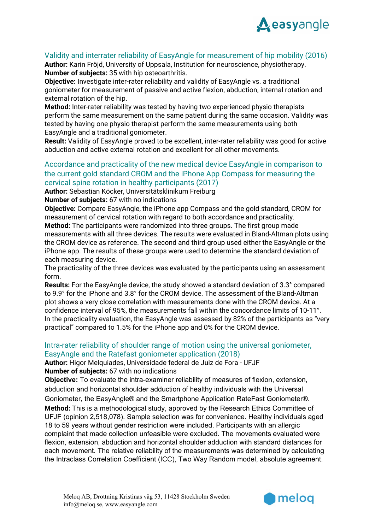

# Validity and interrater reliability of EasyAngle for measurement of hip mobility (2016)

**Author:** Karin Fröjd, University of Uppsala, Institution for neuroscience, physiotherapy. **Number of subjects:** 35 with hip osteoarthritis.

**Objective:** Investigate inter-rater reliability and validity of EasyAngle vs. a traditional goniometer for measurement of passive and active flexion, abduction, internal rotation and external rotation of the hip.

**Method:** Inter-rater reliability was tested by having two experienced physio therapists perform the same measurement on the same patient during the same occasion. Validity was tested by having one physio therapist perform the same measurements using both EasyAngle and a traditional goniometer.

**Result:** Validity of EasyAngle proved to be excellent, inter-rater reliability was good for active abduction and active external rotation and excellent for all other movements.

# Accordance and practicality of the new medical device EasyAngle in comparison to the current gold standard CROM and the iPhone App Compass for measuring the cervical spine rotation in healthy participants (2017)

**Author:** Sebastian Köcker, Universitätsklinikum Freiburg

**Number of subjects:** 67 with no indications

**Objective:** Compare EasyAngle, the iPhone app Compass and the gold standard, CROM for measurement of cervical rotation with regard to both accordance and practicality.

**Method:** The participants were randomized into three groups. The first group made measurements with all three devices. The results were evaluated in Bland-Altman plots using the CROM device as reference. The second and third group used either the EasyAngle or the iPhone app. The results of these groups were used to determine the standard deviation of each measuring device.

The practicality of the three devices was evaluated by the participants using an assessment form.

**Results:** For the EasyAngle device, the study showed a standard deviation of 3.3° compared to 9.9° for the iPhone and 3.8° for the CROM device. The assessment of the Bland-Altman plot shows a very close correlation with measurements done with the CROM device. At a confidence interval of 95%, the measurements fall within the concordance limits of 10-11°. In the practicality evaluation, the EasyAngle was assessed by 82% of the participants as "very practical" compared to 1.5% for the iPhone app and 0% for the CROM device.

## Intra-rater reliability of shoulder range of motion using the universal goniometer, EasyAngle and the Ratefast goniometer application (2018)

**Author:** Higor Melquiades, Universidade federal de Juiz de Fora - UFJF **Number of subjects:** 67 with no indications

**Objective:** To evaluate the intra-examiner reliability of measures of flexion, extension, abduction and horizontal shoulder adduction of healthy individuals with the Universal Goniometer, the EasyAngle® and the Smartphone Application RateFast Goniometer®. **Method:** This is a methodological study, approved by the Research Ethics Committee of UFJF (opinion 2,518,078). Sample selection was for convenience. Healthy individuals aged 18 to 59 years without gender restriction were included. Participants with an allergic complaint that made collection unfeasible were excluded. The movements evaluated were flexion, extension, abduction and horizontal shoulder adduction with standard distances for each movement. The relative reliability of the measurements was determined by calculating the Intraclass Correlation Coefficient (ICC), Two Way Random model, absolute agreement.

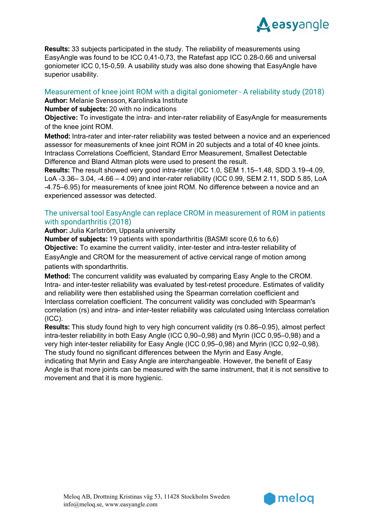

**Results:** 33 subjects participated in the study. The reliability of measurements using EasyAngle was found to be ICC 0,41-0,73, the Ratefast app ICC 0.28-0.66 and universal goniometer ICC 0,15-0,59. A usability study was also done showing that EasyAngle have superior usability.

# Measurement of knee joint ROM with a digital goniometer - A reliability study (2018)

**Author:** Melanie Svensson, Karolinska Institute

**Number of subjects:** 20 with no indications

**Objective:** To investigate the intra- and inter-rater reliability of EasyAngle for measurements of the knee joint ROM.

**Method:** Intra-rater and inter-rater reliability was tested between a novice and an experienced assessor for measurements of knee joint ROM in 20 subjects and a total of 40 knee joints. Intraclass Correlations Coefficient, Standard Error Measurement, Smallest Detectable Difference and Bland Altman plots were used to present the result.

**Results:** The result showed very good intra-rater (ICC 1.0, SEM 1.15–1.48, SDD 3.19–4.09, LoA -3.36– 3.04, -4.66 – 4.09) and inter-rater reliability (ICC 0.99, SEM 2.11, SDD 5.85, LoA -4.75–6.95) for measurements of knee joint ROM. No difference between a novice and an experienced assessor was detected.

## The universal tool EasyAngle can replace CROM in measurement of ROM in patients with spondarthritis (2018)

**Author:** Julia Karlström, Uppsala university

**Number of subjects:** 19 patients with spondarthritis (BASMI score 0,6 to 6,6) **Objective:** To examine the current validity, inter-tester and intra-tester reliability of EasyAngle and CROM for the measurement of active cervical range of motion among patients with spondarthritis.

**Method:** The concurrent validity was evaluated by comparing Easy Angle to the CROM. Intra- and inter-tester reliability was evaluated by test-retest procedure. Estimates of validity and reliability were then established using the Spearman correlation coefficient and Interclass correlation coefficient. The concurrent validity was concluded with Spearman's correlation (rs) and intra- and inter-tester reliability was calculated using Interclass correlation (ICC).

**Results:** This study found high to very high concurrent validity (rs 0.86–0.95), almost perfect intra-tester reliability in both Easy Angle (ICC 0,90–0,98) and Myrin (ICC 0,95–0,98) and a very high inter-tester reliability for Easy Angle (ICC 0,95–0,98) and Myrin (ICC 0,92–0,98). The study found no significant differences between the Myrin and Easy Angle,

indicating that Myrin and Easy Angle are interchangeable. However, the benefit of Easy Angle is that more joints can be measured with the same instrument, that it is not sensitive to movement and that it is more hygienic.